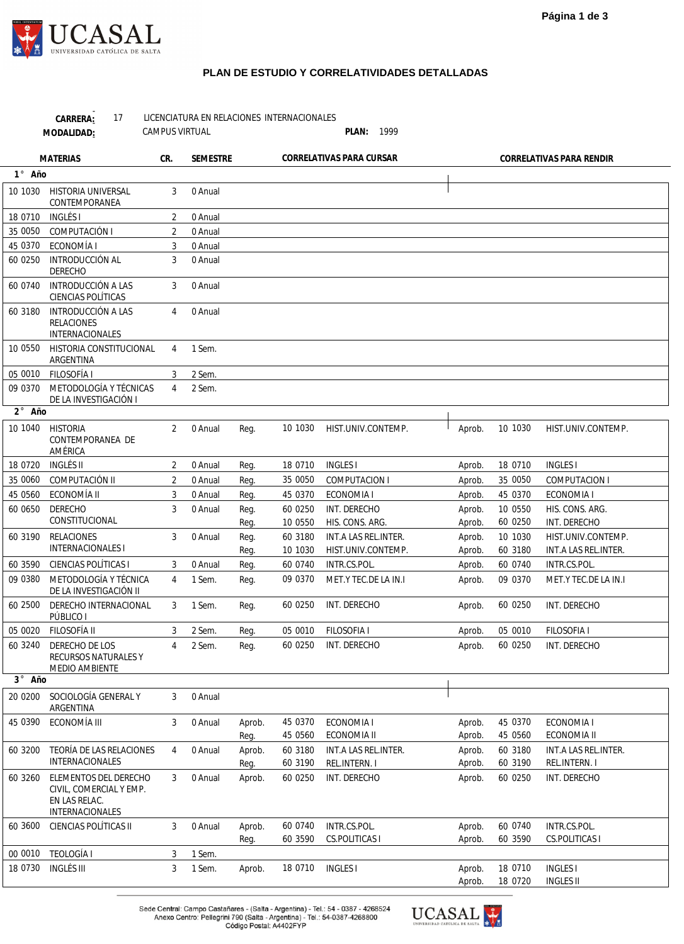## **PLAN DE ESTUDIO Y CORRELATIVIDADES DETALLADAS**

|                 | 17<br>CARRERA:<br>MODALIDAD:                                                         | <b>CAMPUS VIRTUAL</b> | LICENCIATURA EN RELACIONES INTERNACIONALES |                |                    | PLAN: 1999                                 |                  |                          |                                            |
|-----------------|--------------------------------------------------------------------------------------|-----------------------|--------------------------------------------|----------------|--------------------|--------------------------------------------|------------------|--------------------------|--------------------------------------------|
| <b>MATERIAS</b> |                                                                                      | CR.                   | <b>SEMESTRE</b>                            |                |                    | CORRELATIVAS PARA CURSAR                   |                  | CORRELATIVAS PARA RENDIR |                                            |
| 1° Año          |                                                                                      |                       |                                            |                |                    |                                            |                  |                          |                                            |
| 10 1030         | <b>HISTORIA UNIVERSAL</b><br>CONTEMPORANEA                                           | 3                     | 0 Anual                                    |                |                    |                                            |                  |                          |                                            |
| 18 0710         | INGLÉS I                                                                             | 2                     | 0 Anual                                    |                |                    |                                            |                  |                          |                                            |
| 35 0050         | COMPUTACIÓN I                                                                        | 2                     | 0 Anual                                    |                |                    |                                            |                  |                          |                                            |
| 45 0370         | ECONOMÍA I                                                                           | 3                     | 0 Anual                                    |                |                    |                                            |                  |                          |                                            |
| 60 0250         | INTRODUCCIÓN AL<br><b>DERECHO</b>                                                    | 3                     | 0 Anual                                    |                |                    |                                            |                  |                          |                                            |
| 60 0740         | <b>INTRODUCCIÓN A LAS</b><br>CIENCIAS POLÍTICAS                                      | 3                     | 0 Anual                                    |                |                    |                                            |                  |                          |                                            |
| 60 3180         | INTRODUCCIÓN A LAS<br><b>RELACIONES</b><br>INTERNACIONALES                           | 4                     | 0 Anual                                    |                |                    |                                            |                  |                          |                                            |
| 10 0550         | HISTORIA CONSTITUCIONAL<br>ARGENTINA                                                 | 4                     | 1 Sem.                                     |                |                    |                                            |                  |                          |                                            |
| 05 0010         | <b>FILOSOFÍA I</b>                                                                   | 3                     | 2 Sem.                                     |                |                    |                                            |                  |                          |                                            |
| 09 0370         | METODOLOGÍA Y TÉCNICAS<br>DE LA INVESTIGACIÓN I                                      | 4                     | 2 Sem.                                     |                |                    |                                            |                  |                          |                                            |
| 2° Año          |                                                                                      |                       |                                            |                |                    |                                            |                  |                          |                                            |
| 10 1040         | <b>HISTORIA</b><br>CONTEMPORANEA DE<br>AMÉRICA                                       | 2                     | 0 Anual                                    | Req.           | 10 1030            | HIST.UNIV.CONTEMP.                         | Aprob.           | 10 1030                  | HIST.UNIV.CONTEMP.                         |
| 18 0720         | INGLÉS II                                                                            | 2                     | 0 Anual                                    | Reg.           | 18 0710            | <b>INGLES I</b>                            | Aprob.           | 18 0710                  | <b>INGLES</b>                              |
| 35 0060         | COMPUTACIÓN II                                                                       | 2                     | 0 Anual                                    | Reg.           | 35 0050            | COMPUTACION I                              | Aprob.           | 35 0050                  | <b>COMPUTACION I</b>                       |
| 45 0560         | ECONOMÍA II                                                                          | 3                     | 0 Anual                                    | Req.           | 45 0370            | ECONOMIA I                                 | Aprob.           | 45 0370                  | ECONOMIA I                                 |
| 60 0650         | <b>DERECHO</b><br>CONSTITUCIONAL                                                     | 3                     | 0 Anual                                    | Reg.<br>Reg.   | 60 0250<br>10 0550 | INT. DERECHO<br>HIS. CONS. ARG.            | Aprob.<br>Aprob. | 10 0550<br>60 0250       | HIS. CONS. ARG.<br>INT. DERECHO            |
| 60 3190         | <b>RELACIONES</b><br><b>INTERNACIONALES I</b>                                        | 3                     | 0 Anual                                    | Reg.<br>Req.   | 60 3180<br>10 1030 | INT.A LAS REL.INTER.<br>HIST.UNIV.CONTEMP. | Aprob.<br>Aprob. | 10 1030<br>60 3180       | HIST.UNIV.CONTEMP.<br>INT.A LAS REL.INTER. |
| 60 3590         | CIENCIAS POLÍTICAS I                                                                 | 3                     | 0 Anual                                    | Req.           | 60 0740            | INTR.CS.POL.                               | Aprob.           | 60 0740                  | INTR.CS.POL.                               |
| 09 0380         | METODOLOGÍA Y TÉCNICA<br>DE LA INVESTIGACIÓN II                                      | 4                     | 1 Sem.                                     | Reg.           | 09 0370            | MET.Y TEC.DE LA IN.I                       | Aprob.           | 09 0370                  | MET.Y TEC.DE LA IN.I                       |
| 60 2500         | DERECHO INTERNACIONAL<br>PÚBLICO I                                                   | 3                     | 1 Sem.                                     | Reg.           | 60 0250            | INT. DERECHO                               | Aprob.           | 60 0250                  | INT. DERECHO                               |
| 05 0020         | FILOSOFÍA II                                                                         | 3                     | 2 Sem.                                     | Reg.           | 05 0010            | FILOSOFIA I                                | Aprob.           | 05 0010                  | <b>FILOSOFIA I</b>                         |
| 60 3240         | DERECHO DE LOS<br>RECURSOS NATURALES Y<br>MEDIO AMBIENTE                             | 4                     | 2 Sem.                                     | Reg.           | 60 0250            | INT. DERECHO                               | Aprob.           | 60 0250                  | INT. DERECHO                               |
| 3° Año          |                                                                                      |                       |                                            |                |                    |                                            |                  |                          |                                            |
| 20 0200         | SOCIOLOGÍA GENERAL Y<br>ARGENTINA                                                    | 3                     | 0 Anual                                    |                |                    |                                            |                  |                          |                                            |
| 45 0390         | ECONOMÍA III                                                                         | 3                     | 0 Anual                                    | Aprob.<br>Reg. | 45 0370<br>45 0560 | ECONOMIA I<br>ECONOMIA II                  | Aprob.<br>Aprob. | 45 0370<br>45 0560       | ECONOMIA I<br>ECONOMIA II                  |
| 60 3200         | TEORÍA DE LAS RELACIONES                                                             | 4                     | 0 Anual                                    | Aprob.         | 60 3180            | INT.A LAS REL.INTER.                       | Aprob.           | 60 3180                  | INT.A LAS REL.INTER.                       |
|                 | INTERNACIONALES                                                                      |                       |                                            | Reg.           | 60 3190            | REL.INTERN. I                              | Aprob.           | 60 3190                  | REL.INTERN.I                               |
| 60 3260         | ELEMENTOS DEL DERECHO<br>CIVIL, COMERCIAL Y EMP.<br>EN LAS RELAC.<br>INTERNACIONALES | 3                     | 0 Anual                                    | Aprob.         | 60 0250            | INT. DERECHO                               | Aprob.           | 60 0250                  | INT. DERECHO                               |
| 60 3600         | CIENCIAS POLÍTICAS II                                                                | 3                     | 0 Anual                                    | Aprob.<br>Reg. | 60 0740<br>60 3590 | INTR.CS.POL.<br>CS.POLITICAS I             | Aprob.<br>Aprob. | 60 0740<br>60 3590       | INTR.CS.POL.<br><b>CS.POLITICAS I</b>      |
| 00 0010         | <b>TEOLOGÍA I</b>                                                                    | 3                     | 1 Sem.                                     |                |                    |                                            |                  |                          |                                            |
| 18 0730         | <b>INGLÉS III</b>                                                                    | 3                     | 1 Sem.                                     | Aprob.         | 18 0710            | <b>INGLES I</b>                            | Aprob.<br>Aprob. | 18 0710<br>18 0720       | <b>INGLES I</b><br><b>INGLES II</b>        |

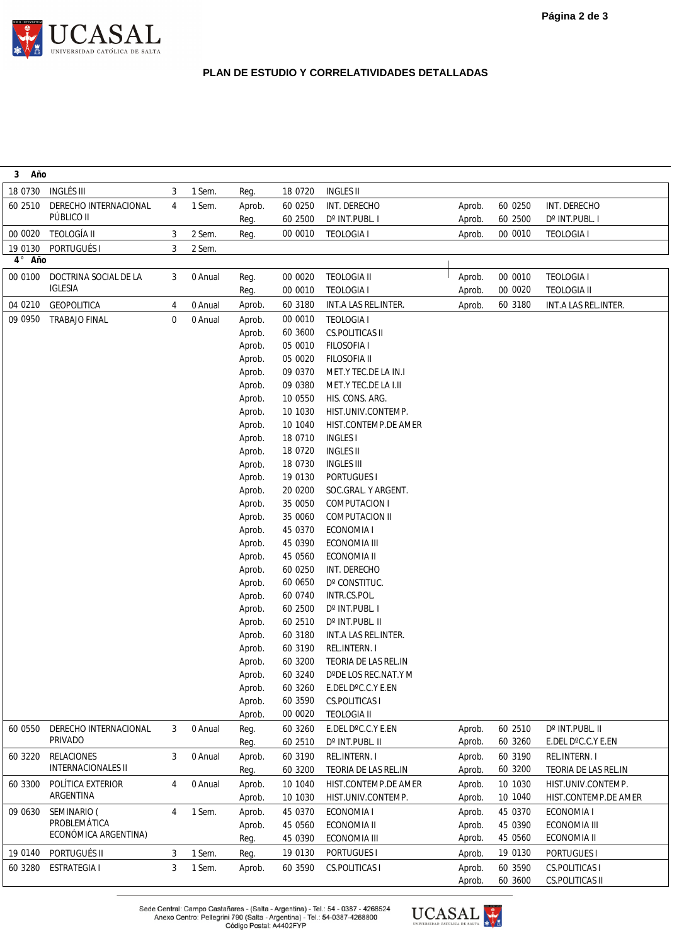

## **PLAN DE ESTUDIO Y CORRELATIVIDADES DETALLADAS**

| Año<br>3      |                                         |                |         |        |         |                      |        |         |                        |
|---------------|-----------------------------------------|----------------|---------|--------|---------|----------------------|--------|---------|------------------------|
| 18 0730       | <b>INGLÉS III</b>                       | 3              | 1 Sem.  | Reg.   | 18 0720 | <b>INGLES II</b>     |        |         |                        |
| 60 2510       | DERECHO INTERNACIONAL                   | 4              | 1 Sem.  | Aprob. | 60 0250 | INT. DERECHO         | Aprob. | 60 0250 | INT. DERECHO           |
|               | PÚBLICO II                              |                |         | Reg.   | 60 2500 | D° INT.PUBL. I       | Aprob. | 60 2500 | D° INT.PUBL. I         |
| 00 0020       | <b>TEOLOGÍA II</b>                      | 3              | 2 Sem.  | Reg.   | 00 0010 | <b>TEOLOGIA I</b>    | Aprob. | 00 0010 | <b>TEOLOGIA I</b>      |
| 19 0130       | PORTUGUÉS I                             | 3              | 2 Sem.  |        |         |                      |        |         |                        |
| $4^\circ$ Año |                                         |                |         |        |         |                      |        |         |                        |
| 00 0100       | DOCTRINA SOCIAL DE LA                   | 3              | 0 Anual | Reg.   | 00 0020 | <b>TEOLOGIA II</b>   | Aprob. | 00 0010 | <b>TEOLOGIA I</b>      |
|               | <b>IGLESIA</b>                          |                |         | Reg.   | 00 0010 | <b>TEOLOGIA I</b>    | Aprob. | 00 0020 | <b>TEOLOGIA II</b>     |
| 04 0210       | GEOPOLITICA                             | 4              | 0 Anual | Aprob. | 60 3180 | INT.A LAS REL.INTER. | Aprob. | 60 3180 | INT.A LAS REL.INTER.   |
| 09 0950       | <b>TRABAJO FINAL</b>                    | 0              | 0 Anual | Aprob. | 00 0010 | <b>TEOLOGIA I</b>    |        |         |                        |
|               |                                         |                |         | Aprob. | 60 3600 | CS.POLITICAS II      |        |         |                        |
|               |                                         |                |         | Aprob. | 05 0010 | FILOSOFIA I          |        |         |                        |
|               |                                         |                |         | Aprob. | 05 0020 | FILOSOFIA II         |        |         |                        |
|               |                                         |                |         | Aprob. | 09 0370 | MET.Y TEC.DE LA IN.I |        |         |                        |
|               |                                         |                |         | Aprob. | 09 0380 | MET.Y TEC.DE LA I.II |        |         |                        |
|               |                                         |                |         | Aprob. | 10 0550 | HIS. CONS. ARG.      |        |         |                        |
|               |                                         |                |         | Aprob. | 10 1030 | HIST.UNIV.CONTEMP.   |        |         |                        |
|               |                                         |                |         | Aprob. | 10 1040 | HIST.CONTEMP.DE AMER |        |         |                        |
|               |                                         |                |         | Aprob. | 18 0710 | <b>INGLES I</b>      |        |         |                        |
|               |                                         |                |         | Aprob. | 18 0720 | <b>INGLES II</b>     |        |         |                        |
|               |                                         |                |         | Aprob. | 18 0730 | <b>INGLES III</b>    |        |         |                        |
|               |                                         |                |         | Aprob. | 19 0130 | PORTUGUES I          |        |         |                        |
|               |                                         |                |         | Aprob. | 20 0200 | SOC.GRAL. Y ARGENT.  |        |         |                        |
|               |                                         |                |         | Aprob. | 35 0050 | COMPUTACION I        |        |         |                        |
|               |                                         |                |         | Aprob. | 35 0060 | COMPUTACION II       |        |         |                        |
|               |                                         |                |         | Aprob. | 45 0370 | ECONOMIA I           |        |         |                        |
|               |                                         |                |         | Aprob. | 45 0390 | ECONOMIA III         |        |         |                        |
|               |                                         |                |         | Aprob. | 45 0560 | ECONOMIA II          |        |         |                        |
|               |                                         |                |         | Aprob. | 60 0250 | INT. DERECHO         |        |         |                        |
|               |                                         |                |         | Aprob. | 60 0650 | D° CONSTITUC.        |        |         |                        |
|               |                                         |                |         | Aprob. | 60 0740 | INTR.CS.POL.         |        |         |                        |
|               |                                         |                |         | Aprob. | 60 2500 | D° INT.PUBL. I       |        |         |                        |
|               |                                         |                |         | Aprob. | 60 2510 | D° INT.PUBL. II      |        |         |                        |
|               |                                         |                |         | Aprob. | 60 3180 | INT.A LAS REL.INTER. |        |         |                        |
|               |                                         |                |         | Aprob. | 60 3190 | REL.INTERN.I         |        |         |                        |
|               |                                         |                |         | Aprob. | 60 3200 | TEORIA DE LAS REL.IN |        |         |                        |
|               |                                         |                |         | Aprob. | 60 3240 | D°DE LOS REC.NAT.Y M |        |         |                        |
|               |                                         |                |         | Aprob. | 60 3260 | E.DEL D°C.C.Y E.EN   |        |         |                        |
|               |                                         |                |         | Aprob. | 60 3590 | CS.POLITICAS I       |        |         |                        |
|               |                                         |                |         | Aprob. | 00 0020 | <b>TEOLOGIA II</b>   |        |         |                        |
| 60 0550       | DERECHO INTERNACIONAL<br><b>PRIVADO</b> | 3              | 0 Anual | Reg.   | 60 3260 | E.DEL D°C.C.Y E.EN   | Aprob. | 60 2510 | D° INT.PUBL. II        |
|               |                                         |                |         | Reg.   | 60 2510 | D° INT.PUBL. II      | Aprob. | 60 3260 | E.DEL D°C.C.Y E.EN     |
| 60 3220       | <b>RELACIONES</b>                       | 3              | 0 Anual | Aprob. | 60 3190 | REL.INTERN.I         | Aprob. | 60 3190 | REL.INTERN.I           |
|               | <b>INTERNACIONALES II</b>               |                |         | Reg.   | 60 3200 | TEORIA DE LAS REL.IN | Aprob. | 60 3200 | TEORIA DE LAS REL.IN   |
| 60 3300       | POLÍTICA EXTERIOR                       | $\overline{4}$ | 0 Anual | Aprob. | 10 1040 | HIST.CONTEMP.DE AMER | Aprob. | 10 1030 | HIST.UNIV.CONTEMP.     |
|               | ARGENTINA                               |                |         | Aprob. | 10 1030 | HIST.UNIV.CONTEMP.   | Aprob. | 10 1040 | HIST.CONTEMP.DE AMER   |
| 09 0630       | SEMINARIO (                             | 4              | 1 Sem.  | Aprob. | 45 0370 | ECONOMIA I           | Aprob. | 45 0370 | ECONOMIA I             |
|               | PROBLEMÁTICA<br>ECONÓMICA ARGENTINA)    |                |         | Aprob. | 45 0560 | ECONOMIA II          | Aprob. | 45 0390 | ECONOMIA III           |
|               |                                         |                |         | Reg.   | 45 0390 | ECONOMIA III         | Aprob. | 45 0560 | ECONOMIA II            |
| 19 0140       | PORTUGUÉS II                            | 3              | 1 Sem.  | Reg.   | 19 0130 | PORTUGUES I          | Aprob. | 19 0130 | PORTUGUES I            |
| 60 3280       | <b>ESTRATEGIA I</b>                     | 3              | 1 Sem.  | Aprob. | 60 3590 | CS.POLITICAS I       | Aprob. | 60 3590 | CS.POLITICAS I         |
|               |                                         |                |         |        |         |                      | Aprob. | 60 3600 | <b>CS.POLITICAS II</b> |

Sede Central: Campo Castañares - (Salta - Argentina) - Tel.: 54 - 0387 - 4268524<br>Anexo Centro: Pellegrini 790 (Salta - Argentina) - Tel.: 54-0387-4268800<br>Código Postal: A4402FYP